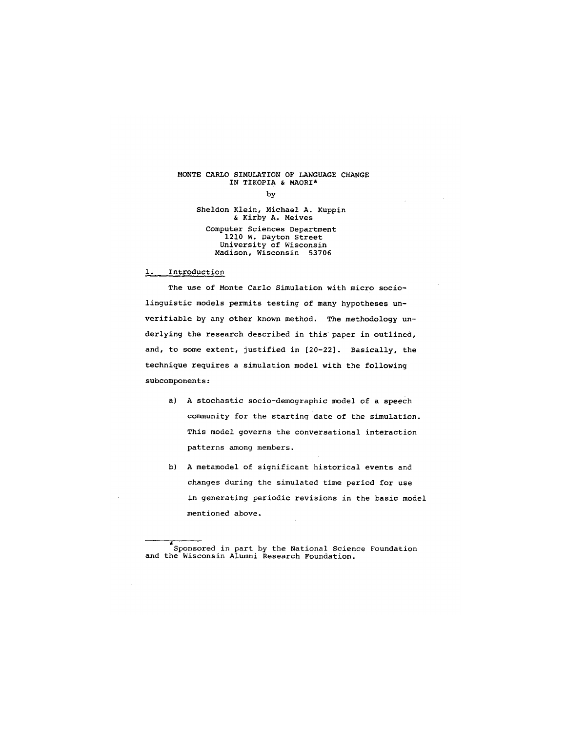# MONTE CARLO SIMULATION OF LANGUAGE CHANGE IN TIKOPIA & MAORI\*

by

Sheldon Klein, Michael A. Kuppin & Kirby A. Meives

#### Computer Sciences Department 1210 W. Dayton Street University of Wisconsin Madison, Wisconsin 53706

1. Introduction

The use of Monte Carlo Simulation with micro sociolinguistic models permits testing of many hypotheses unverifiable by any other known method. The methodology underlying the research described in this paper in outlined, and, to some extent, justified in [20-22]. Basically, the technique requires a simulation model with the following subcomponents:

- a) A stochastic socio-demographic model of a speech community for the starting date of the simulation. This model governs the conversational interaction patterns among members.
- b) A metamodel of significant historical events and changes during the simulated time period for use in generating periodic revisions in the basic model mentioned above.

Sponsored in part by the National Science Foundation and the Wisconsin Alumni Research Foundation.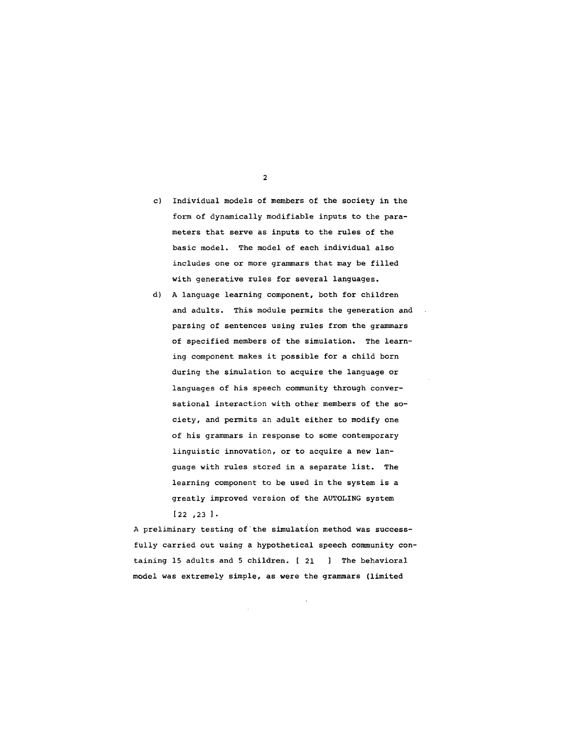c) Individual models of members of the society in the form of dynamically modifiable inputs to the parameters that serve as inputs to the rules of the basic model. The model of each individual also includes one or more grammars that may be filled

with generative rules for several languages.

d) A language learning component, both for children and adults. This module permits the generation and parsing of sentences using rules from the grammars of specified members of the simulation. The learning component makes it possible for a child born during the simulation to acquire the language or languages of his speech community through conversational interaction with other members of the society, and permits an adult either to modify one of his grammars in response to some contemporary linguistic innovation, or to acquire a new language with rules stored in a separate list. The learning component to be used in the system is a greatly improved version of the AUTOLING system [22 ,23 ]-

A preliminary testing of the simulation method was successfully carried out using a hypothetical speech community containing 15 adults and 5 children. [ 21 ] The behavioral model was extremely simple, as were the grammars (limited

 $\overline{2}$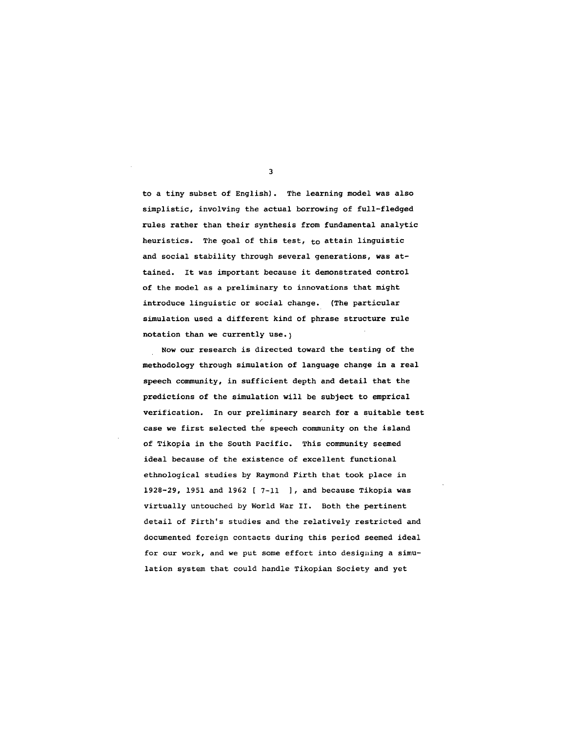to a tiny subset of English). The learning model was also simplistic, involving the actual borrowing of full-fledged rules rather than their synthesis from fundamental analytic heuristics. The goal of this test,  $t_0$  attain linguistic and social stability through several generations, was attained. It was important because it demonstrated control of the model as a preliminary to innovations that might introduce linguistic or social change. (The particular simulation used a different kind of phrase structure rule notation than we currently use.)

Now our research is directed toward the testing of the methodology through simulation of language change in a real speech community, in sufficient depth and detail that the predictions of the simulation will be subject to emprical verification. In our preliminary search for a suitable test / case we first selected the speech community on the island of Tikopia in the South Pacific. This community seemed ideal *because* of the existence of excellent functional ethnological studies by Raymond Firth that took place in 1928-29, 1951 and 1962 [ 7-11 ], and because Tikopia was virtually untouched by World War II. Both the pertinent detail of Firth's studies and the relatively restricted and documented foreign contacts during this period seemed ideal for our work, and we put some effort into designing a simulation system that could handle Tikopian Society and yet

 $\overline{\mathbf{3}}$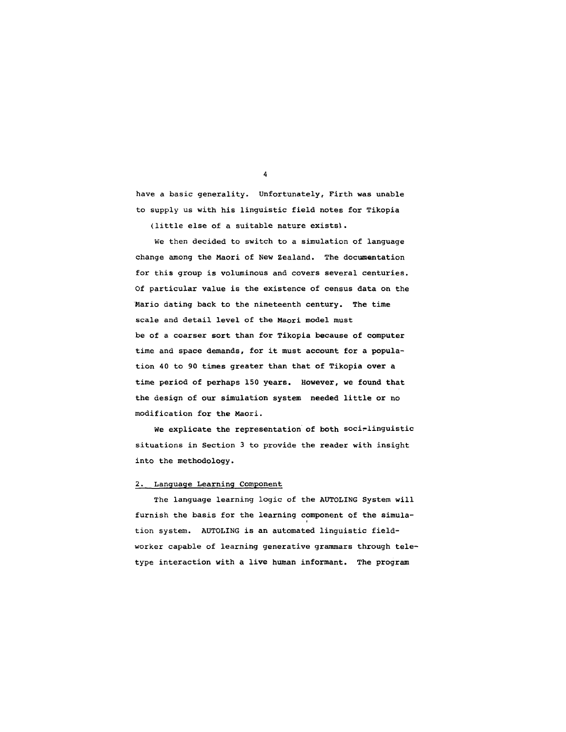have a basic generality. Unfortunately, Firth was unable to supply us with his linguistic field notes for Tikopia

(little else of a suitable nature exists).

We then decided to switch to a simulation of language change among the Maori of New Zealand. The documentation for this group is voluminous and covers several centuries. Of particular value is the existence of census data on the Mario dating back to the nineteenth century. The time scale and detail level of the Maori model must be of a coarser sort than for Tikopia because of computer time and space demands, for it must account for a population 40 to 90 times greater than that of Tikopia over a time period of perhaps 150 years. However, we found that the design of our simulation system needed little or no modification for the Maori.

We explicate the representation of both soci-linguistic situations in Section 3 to provide the reader with insight into the methodology.

## 2. Language Learning Component

The language learning logic of the AUTOLING System will furnish the basis for the learning component of the simulation system. AUTOLING is an automated linguistic fieldworker capable of learning generative grammars through teletype interaction with a live human informant. The program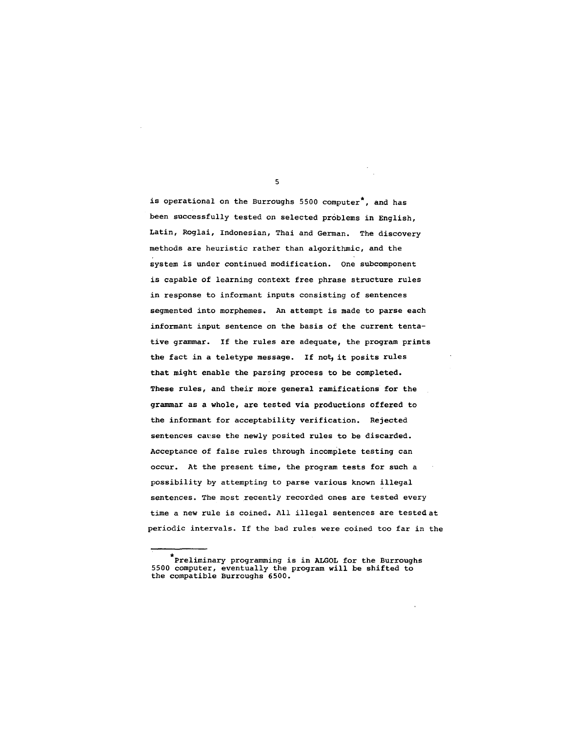is operational on the Burroughs 5500 computer<sup>\*</sup>, and has been successfully tested on selected problems in English, Latin, Roglai, Indonesian, Thai and German. The discovery methods are heuristic rather than algorithmic, and the system is under continued modification. One subcomponent is capable of learning context free phrase structure rules in response to informant inputs consisting of sentences segmented into morphemes. An attempt is made to parse each informant input sentence on the basis of the current tentative grammar. If the rules are adequate, the program prints the fact in a teletype message. If not, it posits rules that might enable the parsing process to be completed. These rules, and their more general ramifications for the grammar as a whole, are tested via productions offered to the informant for acceptability verification. Rejected sentences cause the newly posited rules to be discarded. Acceptance of false rules through incomplete testing can occur. At the present time, the program tests for such a possibility by attempting to parse various known illegal sentences. The most recently recorded ones are tested every time a new rule is coined. All illegal sentences are tested at periodic intervals. If the bad rules were coined too far in the

<sup>\*</sup>Preliminary programming is in ALGOL for the Burroughs 5500 computer, eventually the program will be shifted to the compatible Burroughs 6500.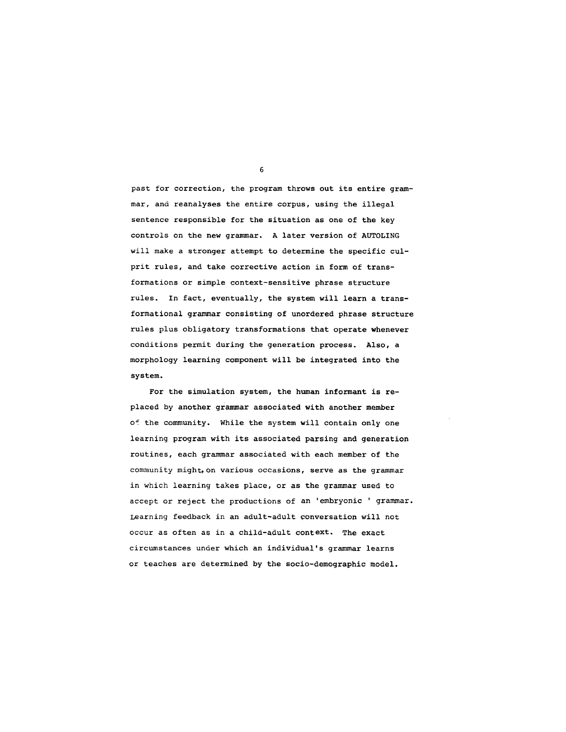past for correction, the program throws out its entire grammar, and reanalyses the entire corpus, using the illegal sentence responsible for the situation as one of the key controls on the new grammar. A later version of AUTOLING will make a stronger attempt to determine the specific culprit rules, and take corrective action in form of transformations or simple context-sensitive phrase structure rules. In fact, eventually, the system will learn a transformational grammar consisting of unordered phrase structure rules plus obligatory transformations that operate whenever conditions permit during the generation process. Also, a morphology learning component will be integrated into the system.

For the simulation system, the human informant is replaced by another grammar associated with another member of the community. While the system will contain only one learning program with its associated parsing and generation routines, each grammar associated with each member of the community might, on various occasions, serve as the grammar in which learning takes place, or as the grammar used to accept or reject the productions of an 'embryonic ' grammar. Learning feedback in an adult-adult conversation will not occur as often as in a child-adult context. The exact circumstances under which an individual's grammar learns or teaches are determined by the socio-demographic model.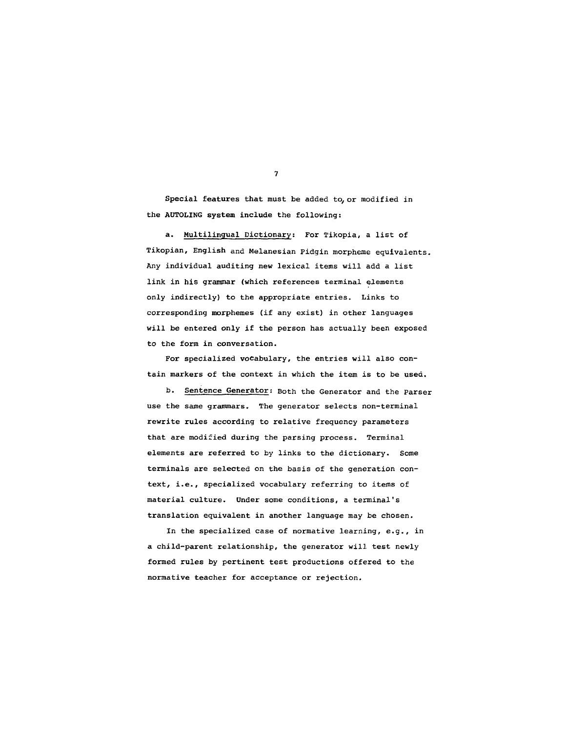Special features that must be added to, or modified in the AUTOLING system include the following:

a. Multilingual Dictionary: For Tikopia, a list of Tikopian, English and Melanesian Pidgin morpheme equivalents. Any individual auditing new lexical items will add a list link in his grammar (which references terminal elements only indirectly) to the appropriate entries. Links to corresponding morphemes (if any exist) in other languages will be entered only if the person has actually been exposed to the form in conversation.

For specialized vocabulary, the entries will also contain markers of the context in which the item is to be used.

b. Sentence Generator: Both the Generator and the Parser use the same grammars. The generator selects non-terminal rewrite rules according to relative frequency parameters that are modified during the parsing process. Terminal elements are referred to by links to the dictionary. Some terminals are selected on the basis of the generation context, i.e., specialized vocabulary referring to items of material culture. Under some conditions, a terminal's translation equivalent in another language may be chosen.

In the specialized case of normative learning, e.g., in a child-parent relationship, the generator will test newly formed rules by pertinent test productions offered to the normative teacher for acceptance or rejection.

 $\overline{7}$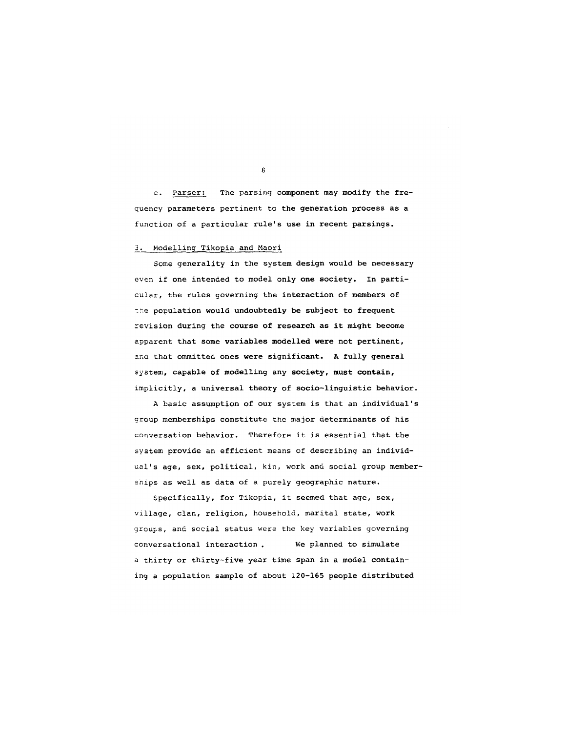c. Parser: The parsing component may modify the frequency parameters pertinent to the generation process as a function of a particular rule's use in recent parsings.

## 3. Modelling Tikopia and Maori

Some generality in the system design would be necessary even if one intended to model only one society. In particular, the rules governing the interaction of members of the population would undoubtedly be subject to frequent revision during the course of research as it might become apparent that some variables modelled were not pertinent, ana that ommitted ones were significant. A fully general system, capable of modelling any society, must contain, implicitly, a universal theory of socio-linguistic behavior.

A basic assumption of our system is that an individual's group memberships constitute the major determinants of his conversation behavior. Therefore it is essential that the system provide an efficient means of describing an individual's age, sex, political, kin, work and social group memberships as well as data of a purely geographic nature.

Specifically, for Tikopia, it seemed that age, sex, village, clan, religion, household, marital state, work groups, and social status were the key variables governing conversational interaction . We planned to simulate a thirty or thirty-five year time span in a model containing a population sample of about 120-165 people distributed

 $\mathbf{s}$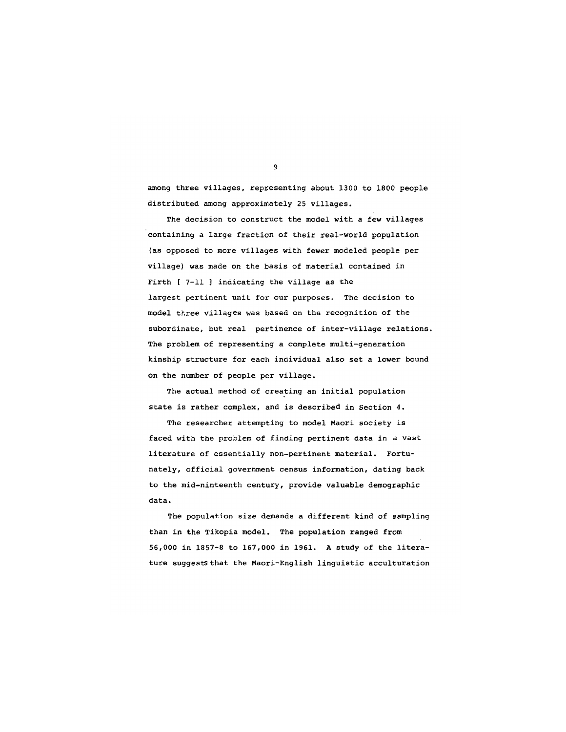among three villages, representing about 1300 to 1800 people distributed among approximately 25 villages.

The decision to construct the model with a few villages containing a large fraction of their real-world population (as opposed to more villages with fewer modeled people per village) was made on the basis of material contained in Firth [ 7-11 ] indicating the village as the largest pertinent unit for our purposes. The decision to model three villages was based on the recognition of the subordinate, but real pertinence of inter-village relations. The problem of representing a complete multi-generation kinship structure for each individual also set a lower bound on the number of people per village.

The actual method of creating an initial population state is rather complex, and is described in Section 4.

The researcher attempting to model Maori society is faced with the problem of finding pertinent data in a vast literature of essentially non-pertinent material. Fortunately, official government census information, dating back to the mid-ninteenth century, provide valuable demographic data.

The population size demands a different kind of sampling than in the Tikopia model. The population ranged from 56,000 in 1857-8 to 167,000 in 1961. A study of the literature suggestS that the Maori-English linguistic acculturation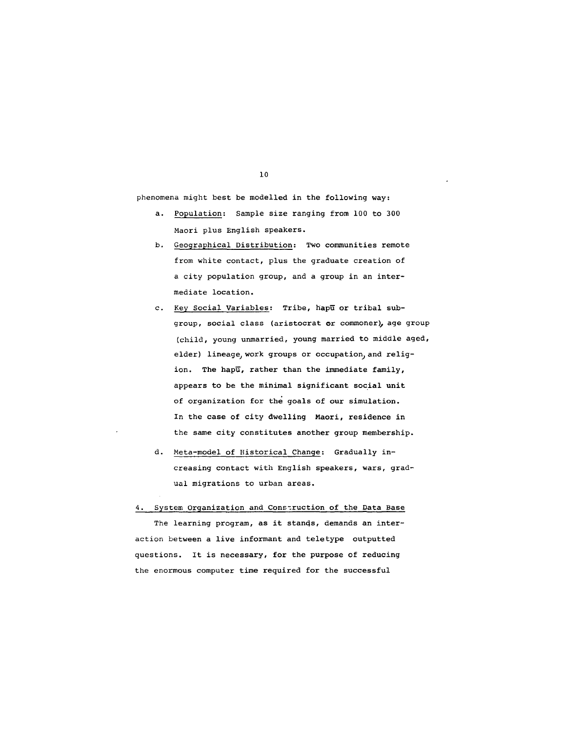phenomena might best be modelled in the following way:

- a. Population: Sample size ranging from i00 to 300 Maori plus English speakers.
- b. Geographical Distribution: Two communities remote from white contact, plus the graduate creation of a city population group, and a group in an intermediate location.
- c. Key Social Variables: Tribe, hapu or tribal subgroup, social class (aristocrat or commoner), age group (child, young unmarried, young married to middle aged, elder) lineage, work groups or occupation, and religion. The hapu, rather than the immediate family, appears to be the minimal significant social unit of organization for the goals of our simulation. In the case of city dwelling Maori, residence in the same city constitutes another group membership.
- d. Meta-model of Historical Change: Gradually increasing contact with English speakers, wars, gradual migrations to urban areas.

4. System Organization and Construction of the Data Base

The learning program, as it stands, demands an interaction between a live informant and teletype outputted questions. It is necessary, for the purpose of reducing the enormous computer time required for the successful

i0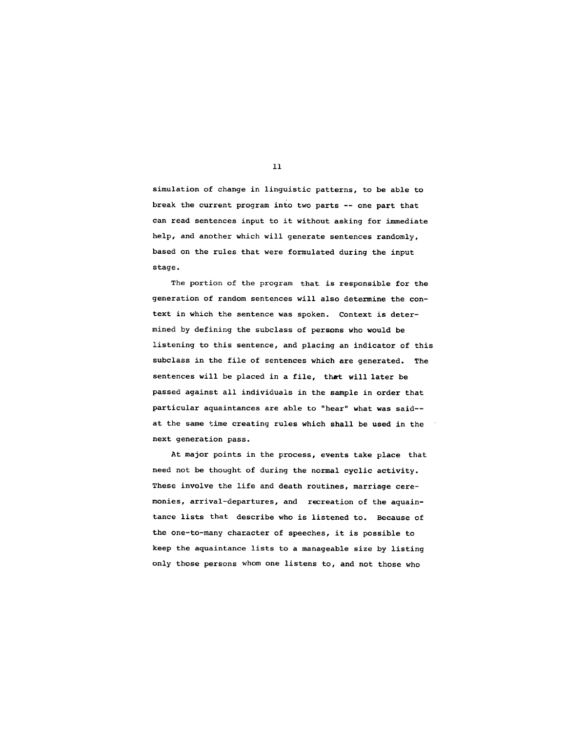simulation of change in linguistic patterns, to be able to break the current program into two parts -- one part that can read sentences input to it without asking for immediate help, and another which will generate sentences randomly, based on the rules that were formulated during the input stage.

The portion of the program that is responsible for the generation of random sentences will also determine the context in which the sentence was spoken. Context is determined by defining the subclass of persons who would be listening to this sentence, and placing an indicator of this subclass in the file of sentences which are generated. The sentences will be placed in a file, that will later be passed against all individuals in the sample in order that particular aquaintances are able to "hear" what was said- at the same time creating rules which shall be used in the next generation pass.

At major points in the process, events take place that need not be thought of during the normal cyclic activity. These involve the life and death routines, marriage ceremonies, arrival-departures, and recreation of the aquaintance lists that describe who is listened to. Because of the one-to-many character of speeches, it is possible to keep the aquaintance lists to a manageable size by listing only those persons whom one listens to, and not those who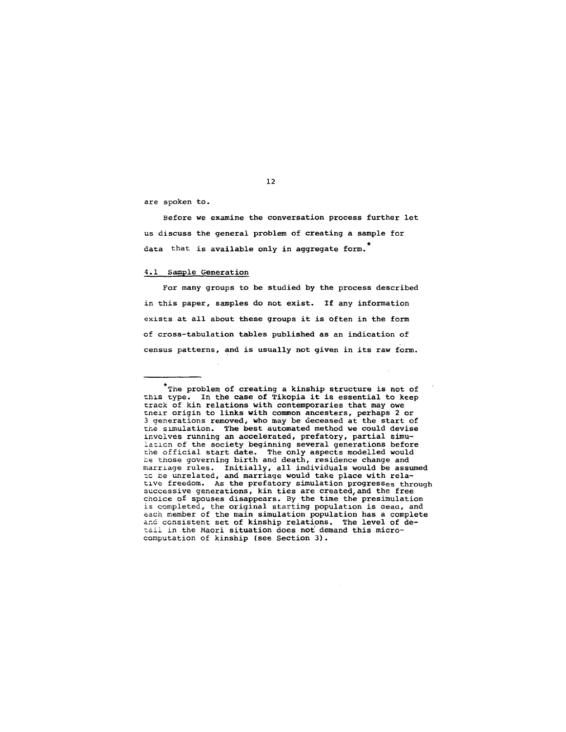are spoken to.

Before we examine the conversation process further let us discuss the general problem of creating a sample for data that is available only in aggregate form.

### 4.1 Sample Generation

For many groups to be studied by the process described in this paper, samples do not exist. If any information exists at all about these groups it is often in the form of cross-tabulation tables published as an indication of census patterns, and is usually not given in its raw form.

<sup>\*</sup>The problem of creating a kinship structure is not of this type. In the case of Tikopia it is essential to keep track of kin relations with contemporaries that may owe unelr origin to links with common ancesters, perhaps 2 or 3 qenerations removed, who may be deceased at the start of the slmulation. The best automated method we could devise involves running an accelerated, prefatory, partial simulation of the society beginning several generations before the official start date. The only aspects modelled would he those governing birth and death, residence change and marrlage rules. Initially, all individuals would be assumed zc De unrelated, and marriage would take place with relatlve freedom. As the prefatory simulation progreSSes through successive generations, kin ties are createdjand the free choice of spouses disappears. By the time the presimulation is completed, the original starting populatlon is aeao, and each member of the main simulation population has a complete and consistent set of kinship relations. The level of detail in the Maori situation does not demand this microcomputation of kinship (see Section 3).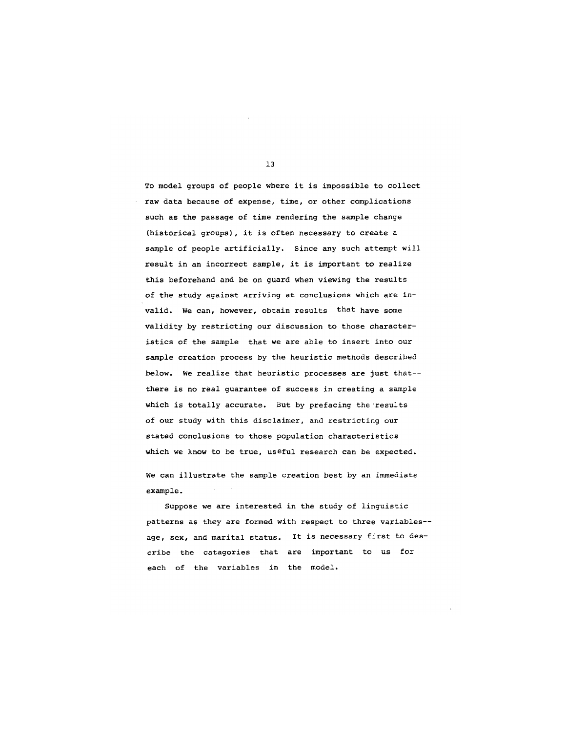To model groups of people where it is impossible to collect raw data because of expense, time, or other complications such as the passage of time rendering the sample change (historical groups), it is often necessary to create a sample of people artificially. Since any such attempt will result in an incorrect sample, it is important to realize this beforehand and be on guard when viewing the results of the study against arriving at conclusions which are invalid. We can, however, obtain results that have some validity by restricting our discussion to those characteristics of the sample that we are able to insert into our sample creation process by the heuristic methods described below. We realize that heuristic processes are just that- there is no real guarantee of success in creating a sample which is totally accurate. But by prefacing the results of our study with this disclaimer, and restricting our stated conclusions to those population characteristics which we know to be true, useful research can be expected.

We can illustrate the sample creation best by an immediate example.

Suppose we are interested in the study of linguistic patterns as they are formed with respect to three variables- age, sex, and marital status. It is necessary first to describe the catagories that are important to us for each of the variables in the model.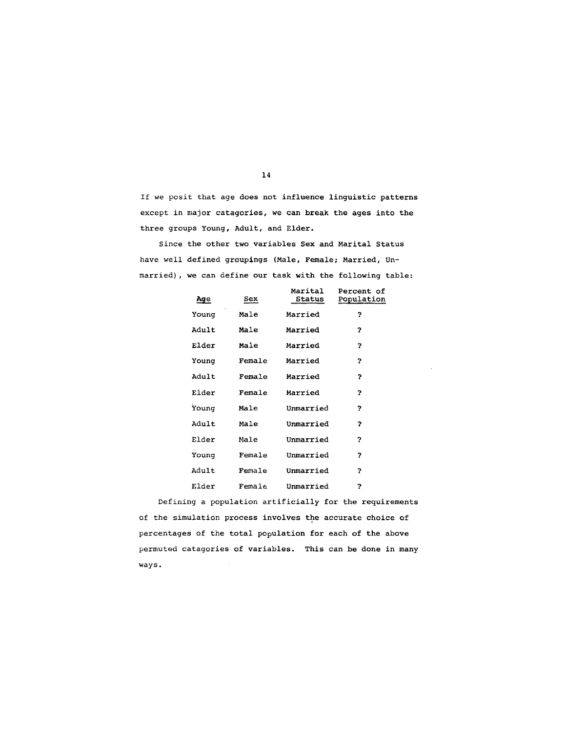If we posit that age does not influence linguistic patterns except in major catagories, we can break the ages into the three groups Young, Adult, and Elder.

Since the other two variables Sex and Marital Status have well defined groupings (Male, Female; Married, Unmarried), we can define our task with the following table:

| Age   | Sex    | Marital<br>Status | <b>Percent of</b><br>Population |
|-------|--------|-------------------|---------------------------------|
| Younq | Male   | Married           | 2                               |
| Adult | Male   | Married           | 2                               |
| Elder | Male   | Married           | $\overline{P}$                  |
| Younq | Female | Married           | 3                               |
| Adult | Female | Married           | 2                               |
| Elder | Female | Married           | 5                               |
| Younq | Male   | Unmarried         | 2                               |
| Adult | Male   | Unmarried         | 2                               |
| Elder | Male   | Unmarried         | 2                               |
| Young | Female | Unmarried         | 2                               |
| Adult | Female | Unmarried         | 2                               |
| Elder | Female | Unmarried         | 2                               |

Defining a population artificially for the requirements of the simulation process involves the accurate choice of percentages of the total population for each of the above permuted catagories of variables. This can be done in many ways.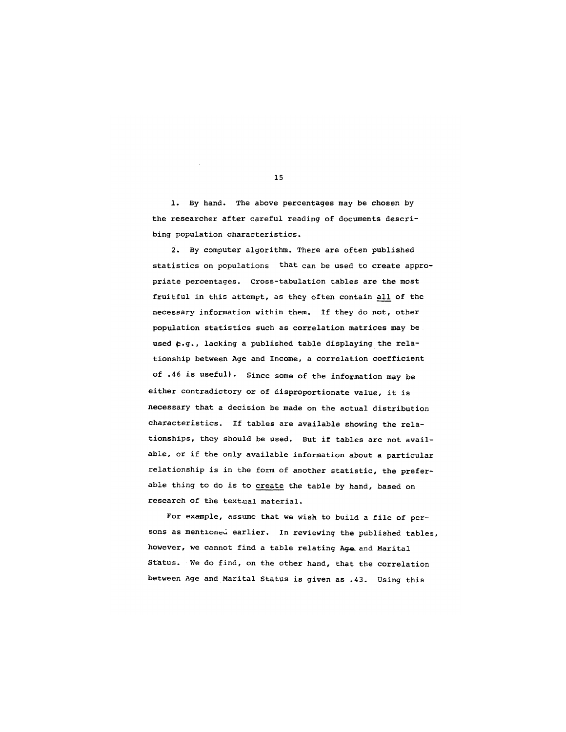1. By hand. The above percentages may be chosen by the researcher after careful reading of documents describing population characteristics.

2. By computer algorithm. There are often published statistics on populations that can be used to create appropriate percentages. Cross-tabulation tables are the most fruitful in this attempt, as they often contain all of the necessary information within them. If they do not, other population statistics such as correlation matrices may be used  $\epsilon$ .g., lacking a published table displaying the relationship between Age and Income, a correlation coefficient of .46 is useful). Since some of the information may be either contradictory or of disproportionate value, it is necessary that a decision be made on the actual distribution characteristics. If tables are available showing the relationships, they should be used. But if tables are not available, or if the only available information about a particular relationship is in the form of another statistic, the preferable thing to do is to create the table by hand, based on research of the textual material.

For example, assume that we wish to build a file of persons as mentioned earlier. In reviewing the published tables, however, we cannot find a table relating Age and Marital Status. We do find, on the other hand, that the correlation between Age and Marital Status is given as .43. Using this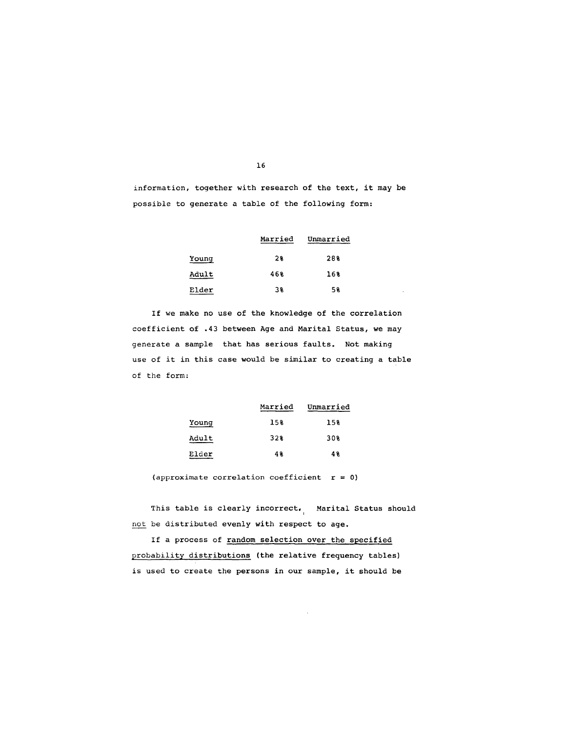information, together with research of the text, it may be possible to generate a table of the following form:

|       | Married | Unmarried |
|-------|---------|-----------|
| Young | 28      | 28%       |
| Adult | 46%     | 16%       |
| Elder | 38      | 58        |

If we make no use of the knowledge of the correlation coefficient of .43 between Age and Marital Status, we may generate a sample that has serious faults. Not making use of it in this case would be similar to creating a table of the form:

|       | Married | Unmarried |
|-------|---------|-----------|
| Young | 15%     | 15%       |
| Adult | 32%     | 30%       |
| Elder | 48      | 48        |

(approximate correlation coefficient  $r = 0$ )

This table is clearly incorrect, Marital Status should l not be distributed evenly with respect to age.

If a process of random selection over the specified probability distributions (the relative frequency tables) is used to create the persons in our sample, it should be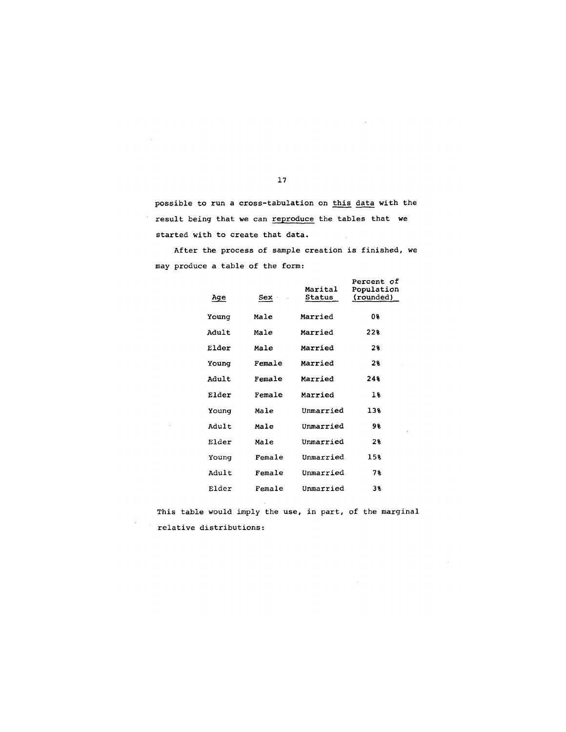possible to run a cross-tabulation on this data with the result being that we can reproduce the tables that we started with to create that data.

After the process of sample creation is finished, we may produce a table of the form:

| Age   | Sex ·  | Marital<br>Status | <b>Percent of</b><br>Population<br>(rounded) |
|-------|--------|-------------------|----------------------------------------------|
| Younq | Male   | Married           | 08                                           |
| Adult | Male   | Married           | 22%                                          |
| Elder | Male   | Married           | 28                                           |
| Young | Female | Married           | 28                                           |
| Adult | Female | Married           | 24%                                          |
| Elder | Female | Married           | 18                                           |
| Young | Male   | Unmarried         | 13%                                          |
| Adult | Male   | Unmarried         | 98                                           |
| Elder | Male   | Unmarried         | 2 €                                          |
| Young | Female | Unmarried         | 15%                                          |
| Adult | Female | Unmarried         | 78                                           |
| Elder | Female | Unmarried         | 38                                           |

This table would imply the use, in part, of the marginal relative distributions:

 $\sim$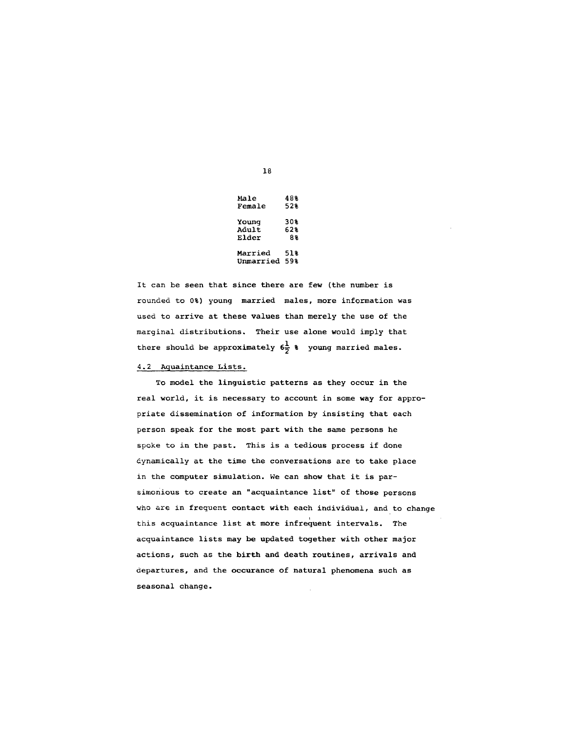| Male      | 48%  |
|-----------|------|
| Female    | 52%  |
| Young     | 30%  |
| Adult     | 62%  |
| Elder     | 88   |
| Married   | 51 k |
| Unmarried | 59%  |

It can be seen that since there are few (the number is rounded to 0%) young married males, more information was used to arrive at these values than merely the use of the marginal distributions. Their use alone would imply that there should be approximately  $6\frac{1}{2}$  % young married males.

# 4.2 Aquaintance Lists.

To model the linguistic patterns as they occur in the real world, it is necessary to account in some way for appropriate dissemination of information by insisting that each person speak for the most part with the same persons he spoke to in the past. This is a tedious process if done dynamically at the time the conversations are to take place in the computer simulation, we can show that it is parsimonious to create an "acquaintance list" of those persons who are in frequent contact with each individual, and to change this acquaintance list at more infrequent intervals. The acquaintance lists may be updated together with other major actions, such as the birth and death routines, arrivals and departures, and the occurance of natural phenomena such as seasonal change.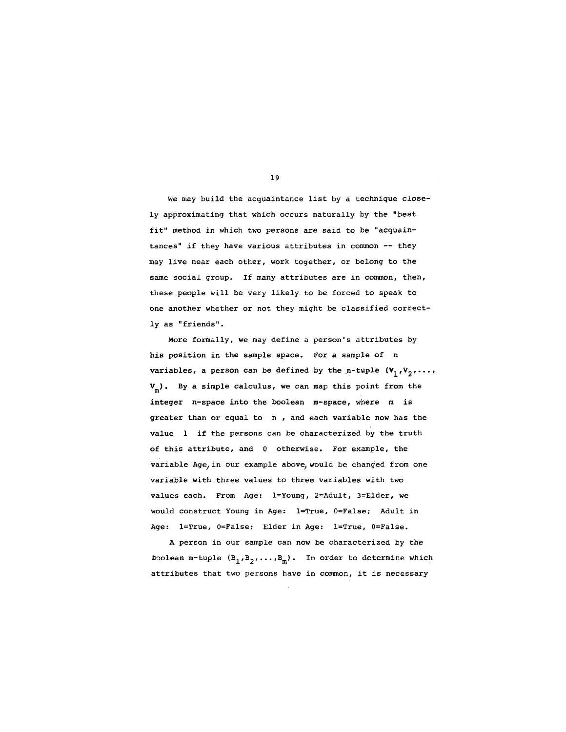We may build the acquaintance list by a technique closely approximating that which occurs naturally by the "best fit" method in which two persons are said to be "acquaintances" if they have various attributes in common -- they may live near each other, work together, or belong to the same social group. If many attributes are in common, then, these people will be very likely to be forced to speak to one another whether or not they might be classified correctly as "friends".

More formally, we may define a person's attributes by his position in the sample space. For a sample of n variables, a person can be defined by the n-tuple  $(V_1, V_2, \ldots, V_n)$  $V_n$ ). By a simple calculus, we can map this point from the integer n-space into the boolean m-space, where m is greater than or equal to n , and each variable now has the value 1 if the persons can be characterized by the truth of this attribute, and 0 otherwise. For example, the variable Age, in our example above, would be changed from one variable with three values to three variables with two values each. From Age: l=Young, 2=Adult, 3=Elder, we would construct Young in Age: l=True, 0=False; Adult in Age: l=True, 0=False; Elder in Age: l=True, 0=False.

A person in our sample can now be characterized by the boolean m-tuple  $(B_1, B_2, \ldots, B_m)$ . In order to determine which attributes that two persons have in common, it is necessary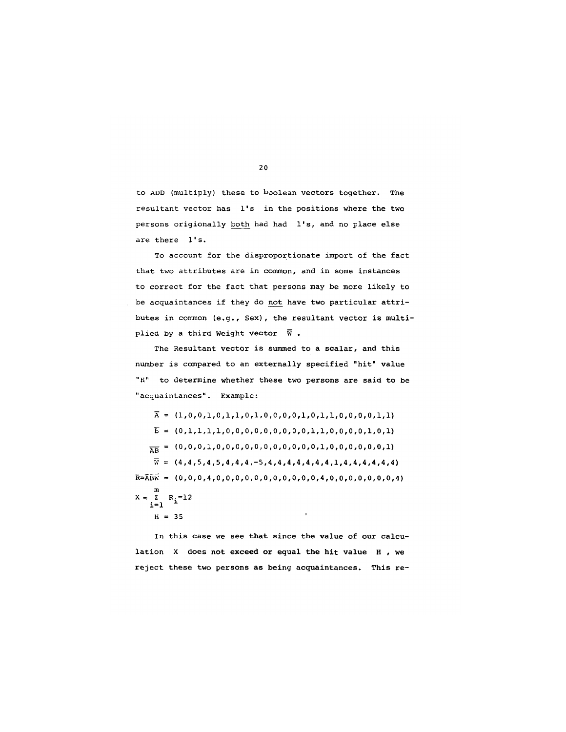to ADD (multiply) these to boolean vectors together. The resultant vector has l's in the positions where the two persons origionally both had had l's, and no place else are there l's.

To account for the disproportionate import of the fact that two attributes are in common, and in some instances to correct for the fact that persons may be more likely to be acquaintances if they do not have two particular attributes in common (e.g., Sex), the resultant vector is multiplied by a third Weight vector  $\overline{W}$ .

The Resultant vector is summed to a scalar, and this number is compared to an externally specified "hit" value "H" to determine whether these two persons are said to be "acquaintances". Example:

 $\overline{A} = (1,0,0,1,0,1,1,0,1,0,0,0,0,1,0,1,1,0,0,0,0,1,1)$  $\overline{E} = (0,1,1,1,1,1,0,0,0,0,0,0,0,0,0,1,1,0,0,0,0,1,0,1)$ A--B = (0,0,0,i,0,0,0,0,0~0,0,0,0,0,0,i,0,0,0,0,0,0,i) = (4,4,5,4,5,4,4,4,-5,4,4,4,4,4,4,4,1,4,4,4,4,4,4) R=ABW = (0,0,0,4,0,0,0,0,0,0,0,0,0,0,0,4,0,0,0,0,0,0,0,4) m  $X = L$   $R_i = 12$ <br> $i=1$  $\overline{1}$  $H = 35$ 

In this case we see that since the value of our calculation X does not exceed or equal the hit value H , we reject these two persons as being acquaintances. This re-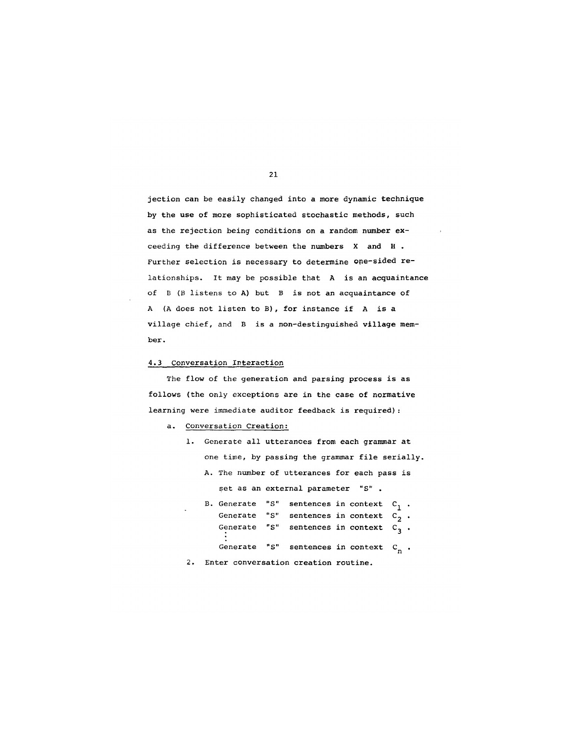jection can be easily changed into a more dynamic technique by the use of more sophisticated stochastic methods, such as the rejection being conditions on a random number exceeding the difference between the numbers X and H . Further selection is necessary to determine one-sided relationships. It may be possible that A is an acquaintance of B (B listens to A) but B is not an acquaintance of A (A does not listen to B), for instance if A is a village chief, and B is a non-destinguished village member.

## 4.3 Conversation Interaction

The flow of the generation and parsing process is as follows (the only exceptions are in the case of normative learning were immediate auditor feedback is required):

# a. Conversation Creation:

- i. Generate all utterances from each grammar at one time, by passing the grammar file serially. A. The number of utterances for each pass is set as an external parameter "S". B. Generate "S" sentences in context  $C_1$ . Generate "S" sentences in context  $C_2^{\dagger}$ . Generate "S" sentences in context  $C_3$ . Generate "S" sentences in context  $\, {\sf c}_{\, {\sf n}} \,$
- 2. Enter conversation creation routine.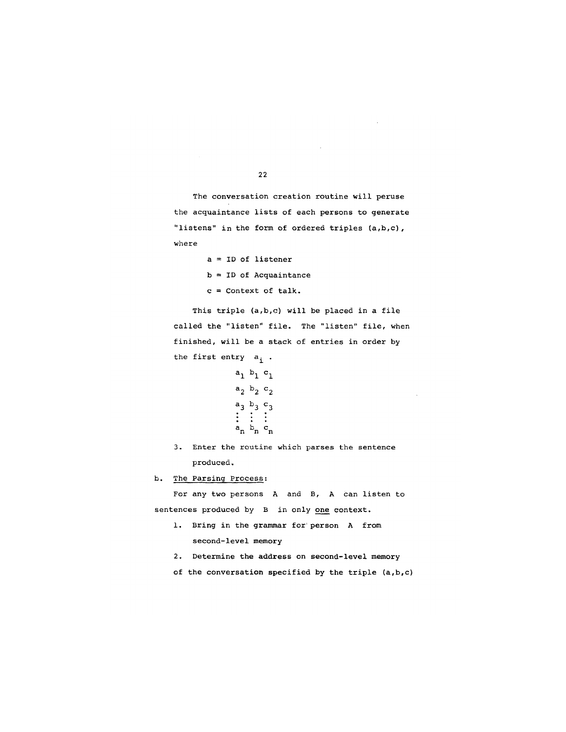The conversation creation routine will peruse the acquaintance lists of each persons to generate "listens" in the form of ordered triples (a,b,c), where

- a = ID of listener  $b = ID$  of Acquaintance
- 
- c = Context of talk.

This triple (a,b,c) will be placed in a file called the "listen" file. The "listen" file, when finished, will be a stack of entries in order by the first entry  $a_i$ .

```
a_1 b_1 c_1a_2 b_2 c_2a_3 b_3 c_3: : : 
a_n b_n c_n
```
3. Enter the routine which parses the sentence produced.

b. The Parsing Process:

For any two persons A and B, A can listen to sentences produced by B in only one context.

- 1. Bring in the grammar for person A from second-level memory
- 2. Determine the address on second-level memory
- of the conversation specified by the triple (a,b,c)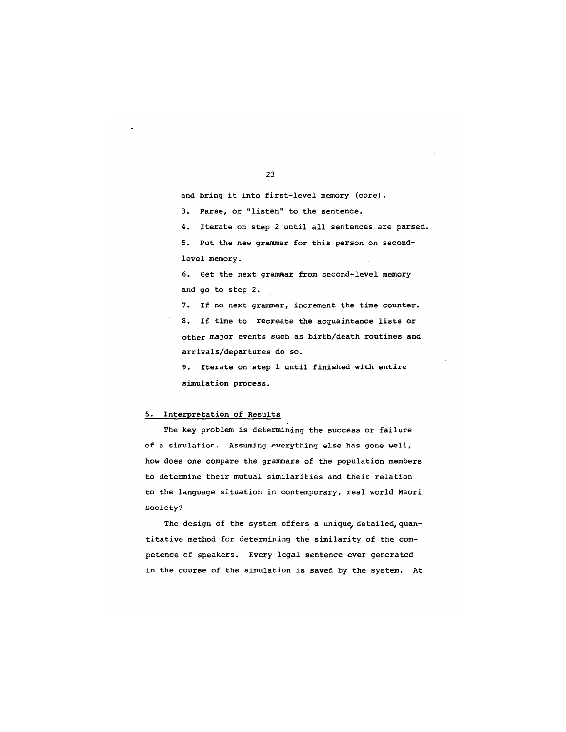and bring it into first-level memory (core).

3. Parse, or "listen" to the sentence.

4. Iterate on step 2 until all sentences are parsed.

5. Put the new grammar for this person on secondlevel memory.

6. Get the next grammar from second-level memory and go to step 2.

7. If no next grammar, increment the time counter. 8. If time to recreate the acquaintance lists or other major events such as birth/death routines and arrivals/departures do so.

9. Iterate on step 1 until finished with entire simulation process.

### 5. Interpretation of Results

The key problem is determining the success or failure of a simulation. Assuming everything else has gone well, how does one compare the grammars of the population members to determine their mutual similarities and their relation to the language situation in contemporary, real world Maori Society?

The design of the system offers a unique, detailed, quantitative method for determining the similarity of the competence of speakers. Every legal *sentence* ever *generated*  in the course of the simulation is saved by the system. At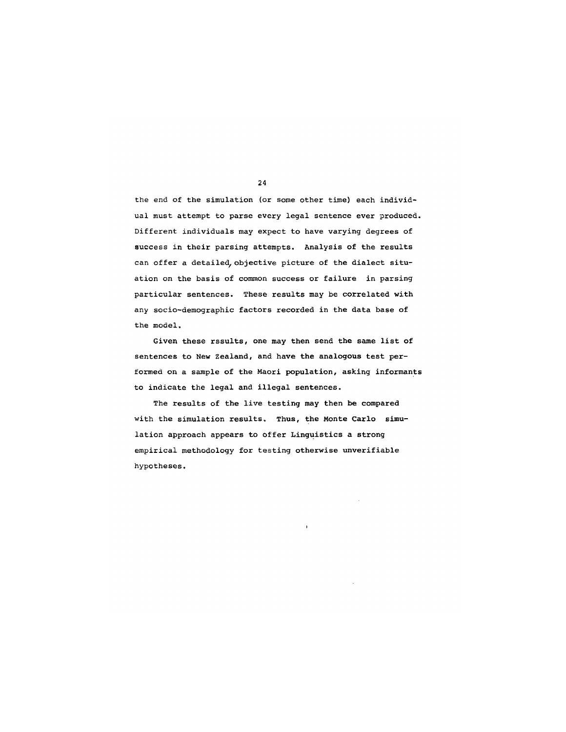the end of the simulation (or some other time) each individual must attempt to parse every legal sentence ever produced. Different individuals may expect to have varying degrees of success in their parsing attempts. Analysis of the results can offer a detailed, objective picture of the dialect situation on the basis of common success or failure in parsing particular sentences. These results may be correlated with any socio-demographic factors recorded in the data base of the model.

Given these rssults, one may then send the same list of sentences to New Zealand, and have the analogous test performed on a sample of the Maori population, asking informants to indicate the legal and illegal sentences.

The results of the live testing may then be compared with the simulation results. Thus, the Monte Carlo simulation approach appears to offer Linguistics a strong empirical methodology for testing otherwise unverifiable hypotheses.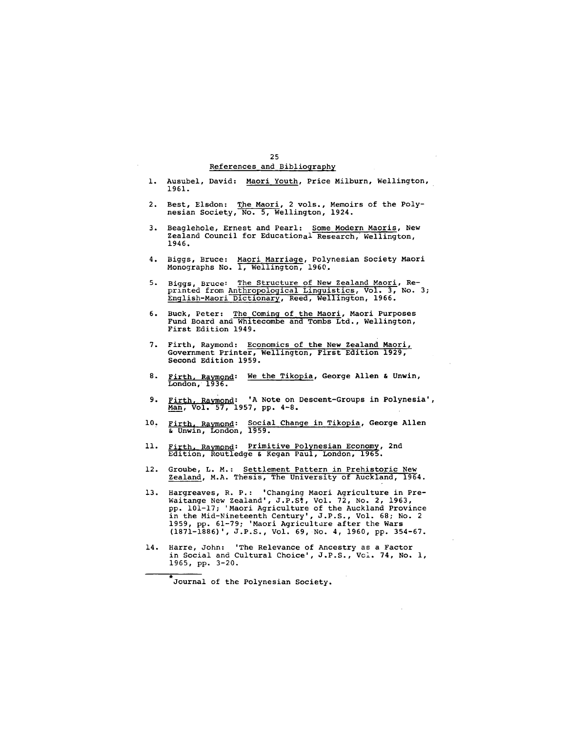## 25 References and Bibliography

- 1. Ausubel, David: Maori Youth, Price Milburn, Wellington, 1961.
- 2. Best, Elsdon: The Maori, 2 vols., Memoirs of the Polynesian Society, No. 5, Wellington, 1924.
- 3. Beaglehole, Ernest and Pearl: Some Modern Maoris, New Zealand Council for Educational Research, Wellington, 1946.
- 4. Biggs, Bruce: Maori Marria@e, Polynesian Society Maori Monographs No. i, Wellington, 1960.
- 5. Biggs, Bruce: The Structure of New Zealand Maori, Reprinted from Ant<u>hropological Linguistic</u>s, Vol. 3, No. 3; English-Maori Dictionary, Reed, Wellington, 1966.
- 6. Buck, Peter: Th<u>e Coming of the Maori</u>, Maori Purposes Fund Board and Whitecombe and Tombs Ltd., Wellington, First Edition 1949.
- 7. Firth, Raymond: Economics of the New Zealand Maori, Government Printer, Wellington, First Edition 1929, Second Edition 1959.
- 8. <u>Firth, Raymond</u>: We the Tikopia, George Allen & Unwin, London, 1936**.**
- 9. <u>Firth, Raymond</u>: 'A Note on Descent-Groups in Polynesia', Man, Vol. 57, 1957, pp. 4-8.
- l0, <u>Firth, Raymond</u>: S<u>ocial Change in Tikopia</u>, George Allen & Unwin, London, 1959.
- 11. <u>Firth, Raymond</u>: Primitive Polynesian Economy, 2nd<br>Edition, Routledge & Kegan Paul, London, 1965.
- 12. Groube, L. M.: Settlement Pattern in Prehistoric New Zealand, M.A. Thesis, The University of Auckland, 1964.
- 13. Hargreaves, R. P.: 'Changing Maori Agriculture in Pre-Waitange New Zealand', J.P.S~, Vol. 72, No. 2, 1963, pp. 101-17; 'Maori Agriculture of the Auckland Province in the Mid-Nineteenth Century', J.P.S., Vol. 68; No. 2 1959, pp. 61-79; 'Maori Agriculture after the Wars (1871-1886)', J.P.S., Vol. 69, No. 4, 1960, pp. 354-67.
- 14. Harre, John: 'The Relevance of Ancestry as a Factor in Social and Cultural Choice', J.P.S., Vcl. 74, No. i, 1965, pp. 3-20.

Journal of the Polynesian Society.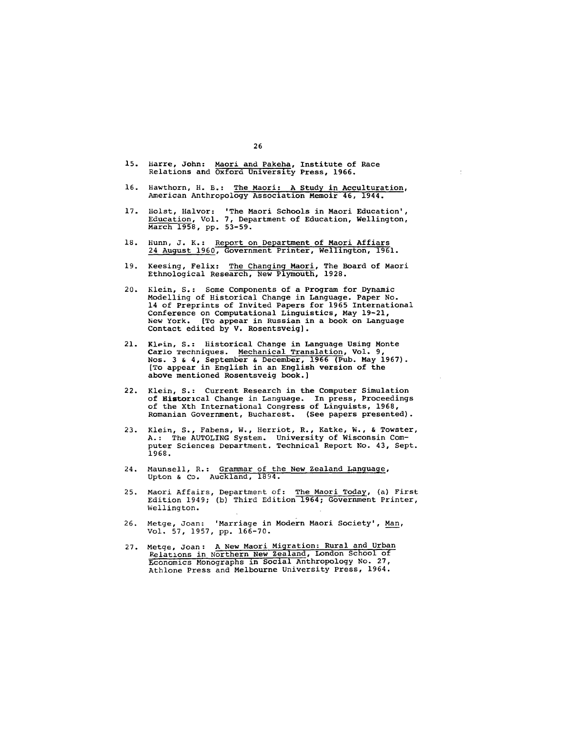- 15. Harre, John: M<u>aori a</u>nd Pakeha, Institute of Race Relations and Oxford University Press, 1966.
- 16. Hawthorn, H. B.: The Maori: A Study in Acculturation, American Anthropology Association Memoir 46, 1944.

 $\hat{\boldsymbol{\theta}}$ 

 $\bar{z}$ 

 $\sim$ 

- 17. Holst, Halvor: 'The Maori Schools in Maori Education', Education, Vol. 7, Department of Education, Wellington, March 1958, pp. 53-59.
- 18. Hunn, J. K.: Repo<u>rt on Department of Maori Affiar</u>s 24 August 1960, Government Printer, Wellington, 1961.
- 19. Keesing, Felix: The Changing Maori, The Board of Maori Ethnological Research, New Plymouth, 1928.
- 20. Klein, S.: Some Components of a Program for Dynamic Modelling of Historical Change in Language. Paper No. 14 of Preprints of Invited Papers for 1965 International Conference on Computational Linguistics, May 19-21, New York. [To appear in Russian in a book on Language Contact edited by V. Rosentsveig].
- 21. Klein, S.: Historical Change in Language Using Monte Carlo Techniques. Mechanical Translation, Vol. 9, Nos. 3 & 4, September & December, 1966 (Pub. May 1967). [To appear in English in an English version of the above mentioned Rosentsveig book.]
- 22. Klein, S.: Current Research in the Computer Simulation of Historical Change in Language. In press, Proceedings of the Xth International Congress of Linguists, 1968, Romanian Government, Bucharest. (See papers presented).
- 23. Klein, S., Fabens, W., Herriot, R., Katke, W., & Towster, A.: The AUTOLING System. University of Wisconsin Computer Sciences Department. Technical Report No. 43, Sept. 1968.
- 24. Maunsell, R.: Grammar of the New Zealand Language, Upton & Co. Auckland, 1894.
- 25. Maori Affairs, Department of: The Maori Today, (a) First Edition 1949; (b) Third Edition 1964; Government Printer, Wellington.
- 26. Merge, Joan: 'Marriage in Modern Maori Society', Man, Vol. 57, 1957, pp. 166-70.
- 27. Metge, Joan: A New Maori Migration: Rural and Urban Relations in Northern New Zealand, London School of Economics Monographs in Social Anthropology No. 27, Athlone Press and Melbourne University Press, 1964.